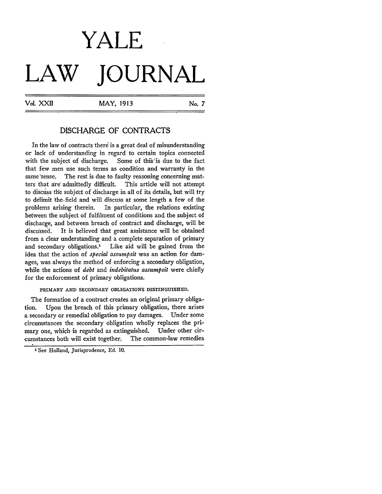# YALE LAW **JOURNAL**

Vol. XXII MAY, 1913 No. 7

# **DISCHARGE** OF **CONTRACTS**

In the law of contracts there is a great deal of misunderstanding or lack of understanding in regard to certain topics connected with the subject of discharge. Some of this'is due to the fact that few men use such terms as condition and warranty in the same 'sense. The rest is due to faulty reasoning concerning matters that are admittedly difficult. This article will not attempt to discuss the subject of discharge in all of its details, but will try to delimit the.field and will discuss at some length a few of the problems arising therein. In particular, the relations existing between the subject of fulfilment of conditions and the subject of discharge, and between breach of contract and discharge, will be discussed. It is believed that great assistance will be obtained from a clear understanding and a complete separation of primary and secondary obligations.' Like aid will be gained from the idea that the action of *special assumpsit* was an action for damages, was always the method of enforcing a secondary obligation, while the actions of *debt* and *indebitatus assumpsit* were chiefly for the enforcement of primary obligations.

PRIIARY **AND SECONDARY** OBLIGATIONS DISTINGUISHED.

The formation of a contract creates an original primary obligation. Upon the breach of this primary obligation, there arises a secondary or remedial obligation to pay damages. Under some circumstances the secondary obligation wholly replaces the primary one, which is regarded as extinguished. Under other circumstances both will exist together. The common-law remedies

<sup>1</sup> See Holland, Jurisprudence, **Ed. 10.**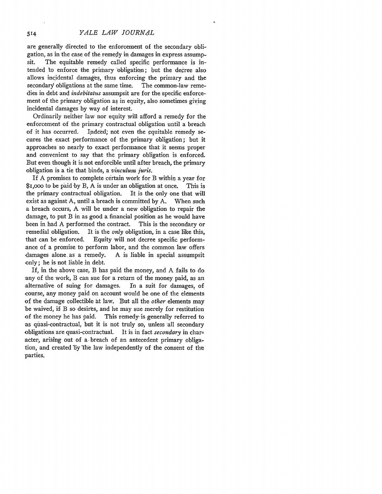are generally directed to the enforcement of the secondary obligation, as in the case of the remedy in damages in express assumpsit. The equitable remedy called specific performance is intended to enforce the primary obligation; but the decree also allows incidental damages, thus enforcing the primary and the secondary obligations at the same time. The common-law remedies in debt and *indebitatus* assumpsit are for the specific enforcement of the primary obligation as in equity, also sometimes giving incidental damages by way of interest.

Ordinarily neither law nor equity will afford a remedy for the enforcement of the primary contractual obligation until a breach of it has occurred. Indeed; not even the equitable remedy secures the exact performance of the primary obligation; but it approaches so nearly to exact performance that it seems proper and convenient to say that the primary obligation is enforced. But even though it is not enforcible until after breach, the primary obligation is a tie that binds, a *vinculum* juris.

If A promises to complete certain work for B within a year for \$i,ooo to be paid'by B, A is under an obligation at once. This is the primary contractual obligation. It is the only one that will exist as against A, until a breach is committed by A. When such a breach occurs, A will be under a new obligation to repair the damage, to put B in as good a financial position as he would have been in had A performed the contract. This is the secondary or remedial obligation. It is the *only* obligation, in a case like this, that can be enforced. Equity will not decree specific performance of a promise to perform labor, and the common law offers damages alone. as a remedy. A is liable in special assumpsit only; he is not liable in debt.

If, in the above case, B has paid the money, and A fails to do any of the work, B can sue for a return of the money paid, as an alternative of suing for damages. In a suit for damages, of course, any money paid on account would be one of the elements of the damage collectible at law. But all the *other* elements may be waived, if B so desires, and he may sue merely for restitution of the money he has paid. This remedy is generally referred to as quasi-contractual, but it is not truly so, unless all secondary obligations are quasi-contractual. It is in fact *secondary* in character, arising out of a. breach of an antecedent primary obligation, and created by the law independently of the consent of the parties.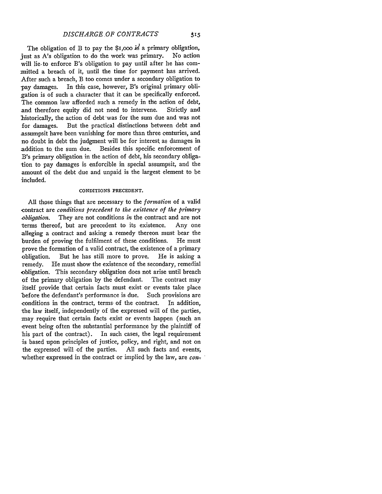The obligation of B to pay the \$1,000 is a primary obligation, st as A's obligation to do the work was primary. No action just as A's obligation to do the work was primary. will lie to enforce B's obligation to pay until after he has committed a breach of it, until the time for payment has arrived. After such a breach, B too comes under a secondary obligation to<br>pay damages. In this case, however, B's original primary obli-In this case, however, B's original primary obligation is of such a character that it can be specifically enforced. The common law afforded such a remedy in the action of debt, and therefore equity did not need to intervene. Strictly and and therefore equity did not need to intervene. historically, the action of debt was for the sum due and was not for damages. But the practical distinctions between debt and assumpsit have been vanishing for more than three centuries, and no doubt in debt the judgment will be for interest as damages in addition to the sum due. Besides this specific enforcement of B's primary obligation in the action of debt, his secondary obligation to pay damages is enforcible in special assumpsit, and the amount **of** the debt due and unpaid is the largest element to be included.

### CONDITIONS **PRECEDENT.**

All those things that are necessary to the *formation* of a valid -contract are *conditions precedent to the existence of the primary obligation.* They are not conditions *in* the contract and are not terms thereof, but are precedent to its existence. Any one alleging a contract and asking a remedy thereon must bear the burden of proving the fulfilment of these conditions. He must prove the formation of a valid contract, the existence of a primary -obligation. But he has still more to prove. He is asking a remedy. He must show the existence of the secondary, remedial obligation. This secondary obligation does not arise until breach of the primary obligation **by** the defendant. The contract may itself provide that certain facts must exist or events take place before the defendant's performance is due. Such provisions are -conditions in the contract, terms of the contract. In addition, the law itself, independently of the expressed will of the parties, -may require that certain facts exist or events happen (such an -event being often the substantial performance **by** the plaintiff of his part of the contract). In such cases, the legal requirement is based upon principles of justice, policy, and right, and not on the expressed will of the parties. All such facts and events, whether expressed in the contract or implied by the law, are  $\epsilon on_{\tau}$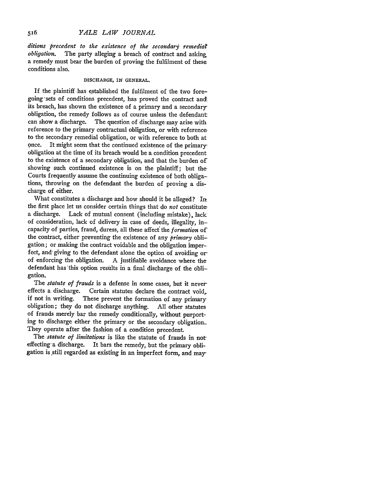*ditions precedent to the existence of the secondary remedial*<br>*obligation*, The party alleging a breach of contract and asking The party alleging a breach of contract and asking a remedy must bear the burden of proving the fulfilment of these conditions also.

# DISCHARGE, **IN** GENERAL.

If the plaintiff has established the fulfilment of the two foregoing sets of conditions precedent, has proved the contract and its breach, has shown the existence of a primary and a secondaryobligation, the remedy follows as of course unless the defendant can show a discharge. The question of discharge may arise with reference to the primary contractual obligation, or with reference to the secondary remedial obligation, or with reference to both at once. It might seem that the continued existence of the primaryobligation at the time of its breach would be a condition precedent to the existence of a secondary obligation, and that the burden of showing such continued existence is on the plaintiff; but the Courts frequently assume the continuing existence of both obligations, throwing on the defendant the burden of proving a discharge of either.

What constitutes a discharge and how should it be alleged? In the first place let us consider certain things that do *not* constitute a discharge. Lack of mutual consent (including mistake), lack of consideration, lack of delivery in case of deeds, illegality, incapacity of parties, fraud, duress, all these affect' the *formation of*the contract, either preventing the existence of any *primary* obligation; or making the contract voidable and the obligation imper- fect, and giving to the defendant alone the option of avoiding or-<br>of enforcing the obligation. A justifiable avoidance where the A justifiable avoidance where the defendant has this option results in a final discharge of the obligation.

The *statute of frauds* is a defense in some cases, but it never effects a discharge. Certain statutes declare the contract void, if not in writing. These prevent the formation of any primaryobligation; they do not discharge anything. All other statutes of frauds merely bar the remedy conditionally, without purporting to discharge either the primary or the secondary obligation.. They operate after the fashion of a condition precedent.

The *statute of limitations* is like the statute of frauds in noteffecting a discharge. It bars the remedy, but the primary obligation is still regarded as existing in an imperfect form, and may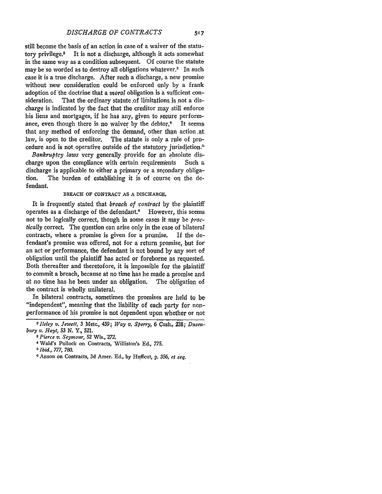still become the basis of an action in case of a waiver of the statutory privilege.<sup>2</sup> It is not a discharge, although it acts somewhat in the same way as a condition subsequent. Of course the statute may be so worded as to destroy all obligations whatever.<sup>3</sup> In such case it is a true discharge. After such a discharge, a new promise without new consideration could be enforced only by a frank adoption of the doctrine that a *moral* obligation is a sufficient consideration. That the ordinary statute of limitations is not a discharge is indicated by the fact that the creditor may still enforce his liens and mortgages, if he has any, given to secure performance, even though there is no waiver by the debtor, $<sup>4</sup>$  It seems</sup> that any method of enforcing the demand, other than action.at law, is open to the creditor. The statute is only a rule of procedure and is not operative outside of the statutory jurisdiction.<sup>5</sup>

*Bankruptcy laws* very generally provide for an absolute discharge upon the compliance with certain requirements Such **a** discharge is applicable to either a primary or a secondary obligation. The burden of establishing it is of course on the defendant.

### BREACH OF **CONTRACT AS A DISCHARGE,**

It is frequently stated that *breach of contract* by the plaintiff operates as a discharge of the defendant.<sup>6</sup> However, this seems not to be logically correct, though in some cases it may be *practically* correct. The question can arise only in the case of bilateral contracts, where a promise is given for a promise. **If** the defendant's promise was offered, not for a return promise, but for an act or performance, the defendant is not bound by any sort of obligation until the plaintiff has acted or foreborne as requested. Both thereafter and theretofore, it is impossible for the plaintiff to commit a breach, because at no time has he made a promise and at no time has he been under an obligation. The obligation of the contract is wholly unilateral.

In bilateral contracts, sometimes the promises are held to be "independent", meaning that the liability of each party for nonperformance **of** his promise is not dependent upon whether or not

- *Ibid., 777,* **780.**
- **<sup>0</sup>** Anson on Contracts, **3d** Amer. Ed., **by** Huffcut, **p.** *356, et seq.*

<sup>2</sup> Ilsley v. Jewett, 3 Metc., 439; Way v. Sperry, 6 Cush., 238; Dusen*bury v. Hoyt,* 53 **N.** Y., 521.

**<sup>3</sup>***Pierce v. Seymour,* 52 Wis., 272.

<sup>4</sup> Wald's Pollock on Contracts,'Williston's **Ed.,** 775. *<sup>5</sup>*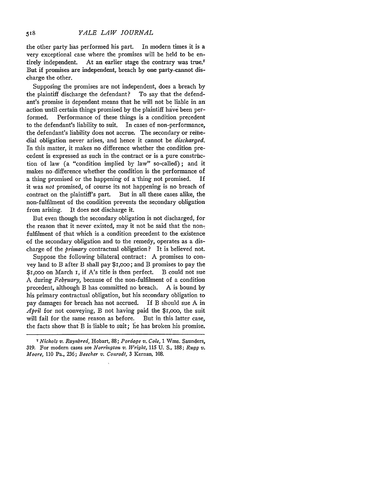the other party has performed his part. In modern times it is a very exceptional case where the promises will be held to be en-<br>tirely independent. At an earlier stage the contrary was true.<sup>7</sup> At an earlier stage the contrary was true.<sup>7</sup> But if promises are independent, breach by one party-cannot discharge, the other.

Supposing the promises are not independent, does a breach by<br>e plaintiff discharge the defendant? To say that the defendthe plaintiff discharge the defendant? ant's promise is dependent means that he will not be liable in an action until certain things promised by the plaintiff have been performed. Performance of these things is a condition precedent to the defendant's liability to suit. In cases of non-performance, the defendant's liability does not accrue. The secondary or refnedial obligation never arises, and hence it cannot be *discharged.* In this matter, it makes no difference whether the condition precedent is expressed as such in the contract or is a pure construction of law (a "condition implied by law" so-called); and it makes no difference whether the condition is the performance of a thing promised or the happening of a thing not promised. If it was *not* promised, of course its not happening is no breach of contract on the plaintiff's part. But in all these cases alike, the non-fulfilment of the condition prevents the secondary obligation from arising. It does not discharge it.

But even though the secondary obligation is not discharged, for the reason that it never existed, may it not be said that the nonfulfilment of that which is a condition precedent to the existence of the secondary obligation and to the remedy, operates as a discharge of the *primary* contractual obligation? It is believed not.

Suppose the following bilateral contract: A promises to convey land to B after B shall pay \$i,ooo; and B promises to pay the \$i,ooo on March i, if A's title is then perfect. B could not sue A during *February,* because of the non-fulfilment of a condition precedent, although B has committed no breach. A is bound by his primary contractual obligation, but his secondary obligation to pay damages for breach has not accrued. If B should sue A in *April* for not conveying, B not having paid the \$I,OOO, the suit will fail for the same reason as before. But in this latter case, the facts show that  $B$  is liable to suit; he has broken his promise.

*<sup>7</sup> Nichols v. Raynbred,* Hobart, 88; *Pordage v.. Cole,* 1 Wms. Saunders, 319. For modern cases see *Norrington v. Wright,* 115 U. S., 188; *Rugg v. Moore,* 110 Pa., 236; *Beecher v. Conradt,* 3 Kernan, 108.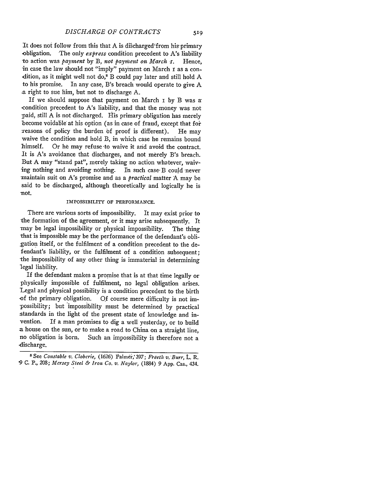It does not follow from this that A is discharged from his primary -obligation. The only *express* condition precedent to A's liability -to action was *payment* by B, *not payment on March* **.i.** Hence, in case the law should not "imply" payment on March **I** as a con- .dition, as it might well not do,8 B could pay later and still hold A to his promise. In any case, B's breach would operate to give A a right to sue him, but not to discharge A.

If we should suppose that payment on March I by B was a: -condition precedent to A's liability, and that the money was not paid, still A is not discharged. His primary obligation has merely become voidable at his option (as in case of fraud, except that for Teasons of policy the burden of proof is different). He may waive the condition and hold B, in which case he remains bound himself. Or he may refuse to waive it and avoid the contract. It is A's avoidance that discharges, and not merely B's breach. But A may "stand pat", merely taking no action whatever, waiving nothing and avoiding nothing. In such case B could never -maintain suit on A's promise and as a *practical* matter A may be said to be discharged, although theoretically and logically he is -not.

### IMPOSSIBILITY OF PERFORMANCE.

There are various sorts of impossibility. It may exist prior to the formation of the agreement, or it may arise subsequently. It -may be legal impossibility or physical impossibility. The thing that is impossible may be the performance of the defendant's obligation itself, or the fulfilment of a condition precedent to the defendant's liability, or the fulfilment of a condition subsequent; the impossibility of any other thing is immaterial in determining legal liability.

If the defendant makes a promise that is at that time legally or physically impossible of fulfilment, no legal obligation arises. Legal and physical possibility is a condition precedent to the birth -of the primary obligation. **Of** course mere difficulty is not im- -possibility; but impossibility must be determined by practical standards in the light of the present state of knowledge and invention. If a man promises to dig a well yesterday, or to build za house on the sun, or to make a road to China on a straight line, no obligation is born. Such an impossibility is therefore not a discharge.

**8** See *Constable v. Cloberie,* (1626) Palmer,'397; *Fr-eeth v. Burr,* L. R. 9 C. P., 208; *Mersey Steel & Iron Co. v. Naylor,* (1884) 9 App. Cas., 434.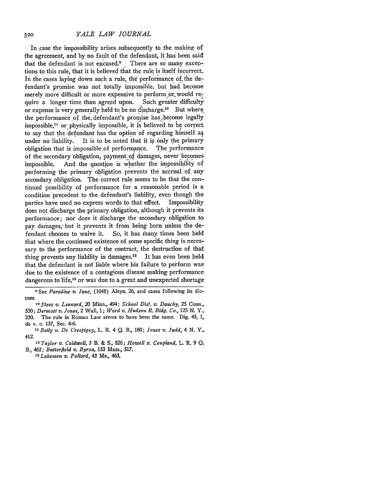In .case the impossibility arises. subsequently to the making of the agreement, and **by** no fault of the defendant, it has been said that the defendant is not excused.<sup>9</sup> There are so many exceptions to this rule, that it is believed that the rule is itself incorrect. In the cases laying down such a rule, the performance of the defendant's promise was not totally impossible, but had become merely more difficult or more expensive to perform or, would re-<br>quire a longer time than agreed upon. Such greater difficulty quire a longer time than agreed upon. or expense is very generally held to be no discharge.<sup>10</sup> But where the performance of the defendant's promise has become legally impossible," or physically impossible, it is believed to be correct to say that the defendant has the option of regarding himself.a under no liability. It is to be noted that it is only the primary obligation that is impossible of performance. The performance obligation that is impossible of performance. of the secondary obligation, payment of damages, never becomes impossible. And the question is whether the impossibility of performing the primary obligation prevents the accrual of any secondary obligation. The correct rule seems to be that the continued possibility of performance for a reasonable period is a condition precedent to the defendant's liability, even though the parties have used no express words to that effect. Impossibility does not discharge the primary obligation, although it prevents its performance; nor does it discharge the secondary obligation to pay damages, but it prevents it from being born unless the defendant chooses to waive it. So, it has many times been held that where the continued existence of some specific thing is necessary to the performance of the contract, the destruction of that thing prevents any liability in damages.<sup>12</sup> It has even been held that the defendant is not liable where his failure to perform was due to the existence of a contagious disease making- performance dangerous to life,<sup>13</sup> or was due to a great and unexpected shortage

*"3Lakemen v. Pollard,* 43 Me., 463.

**<sup>9</sup>** See *Paradine v. Jane,* (1648) Aleyn, *26,* and cases following its dictum.

<sup>&#</sup>x27;° *Stees v. Leonard, 20* Minn., 494; *School Dist. v. Dauchy,* 25 Conn., 530; *Derinott v. Jones,* 2 Wall, **1;** *Ward v. Hudson R. Bldg. Co.,* **125 N.** Y., 230. The rule in Roman Law seems to have been the same. Dig. 45, **1,** de v. **o.** 137, Sec. 4-6.

*<sup>11</sup>Baily v. De Crespigny,* L. R. 4 **Q.** B., 180; *Jones v. Judd, 4 N. Y.,* 412.

*<sup>12</sup>Taylor v. Caldwell,* 3 B. & **S.,** 826; *Howell v. Coupland,* L.R. 9 **Q.** B., 462; *Butterfield v. Byron,* **153** Mass., 517.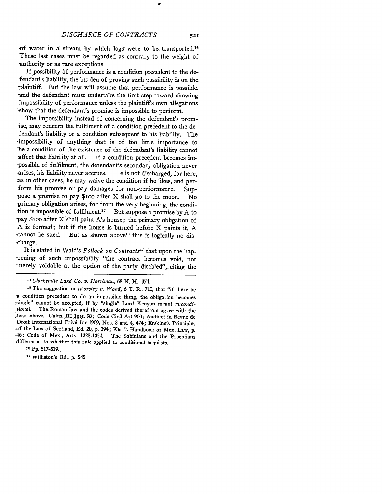of water in a stream by which logs were to be transported.<sup>14</sup> These last cases must be regarded as contrary to the weight of authority or as rare exceptions.

'If possibility **of** performance is a condition precedent to the defendant's liability, the burden of proving such possibility is on the -plaintiff. But the law will assume that performance is possible. and the defendant must undertake the first step toward showing 'impossibility of performance unless the plaintiff's own allegations show that the defendant's promise is impossible to perform.

The impossibility instead of concerning the defendant's promise, hmay concern the fulfilment of a condition precedent to the defendant's liability or a condition subsequent to his liability. The -impossibility of anything that is of too little importance to be a condition of the existence of the defendant's liability cannot affect that liability at all. If a condition precedent becomes im-If a condition precedent becomes im--possible of fulfilment, the defendant's secondary obligation never arises, his liability never accrues. He is not discharged, for here, :as in other cases, he may waive the condition if he likes, and perform his promise or pay damages for non-performance. Sup--pose a promise to pay \$Ioo after X shall go to the moon. No -primary obligation arises, for from the very beginning, the condi tion is impossible of fulfilment.<sup>15</sup> But suppose a promise by A to -pay \$ioo after X shall paint A's house; the primary obligation of A is formed; but if the house is burned before X paints it, A -cannot be sued. But as shown above<sup>16</sup> this is logically no dis--charge.

It is stated in Wald's *Pollock on Contracts*<sup>17</sup> that upon the happening of such impossibility "the contract becomes void, not -merely voidable at the option of the party disabled",. citing the

<sup>14</sup>*Clarksville Land Co. v. Harriman, 68* **N.** H.,.374.

 $5$  The suggestion in *Worsley v. Wood*, 6 T. R., 710, that "if there be -a condition precedent to do an impossible thing, the obligation becomes -single" cannot be accepted, if by "single" Lord Kenyon meant *unconditional.* The.Roman law and the codes derived therefrom agree with the text above. Gaius, III Inst. 98; Code Civil Art 900; Audinet in Revue de Droit International Priv6 for 1909, Nos. 3 and 4, 474; Erskine's Principles -of the Law of Scotland, Ed. 20, p. 394; Kerr's Handbook of Mex. Law, p. -46; Code of Mex., Arts. 1328-1354. The Sabinians and the Proculians differed as to whether this rule applied to conditional bequests.

**<sup>&#</sup>x27;a** Pp. 517-519. **\_**

**<sup>&#</sup>x27;7** Williston's Ed., p. 545.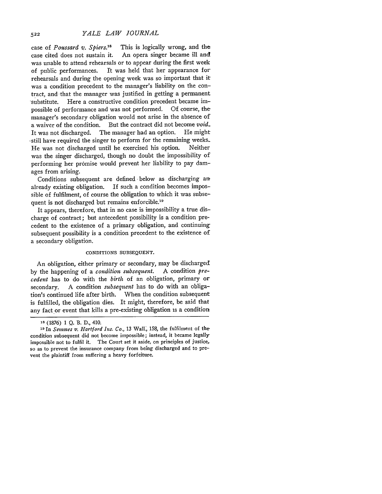case of *Poussard v. Spiers.18* This is logically wrong, and the An opera singer became ill and was unable to attend rehearsals or to appear during the first week of public performances. *It* was held that her appearance for rehearsals and during the opening week was so important that it was a condition precedent to the manager's liability on the contract, and-that the manager was justified in getting a permanent substitute. Here a constructive condition precedent became impossible of performance and was not performed. Of course, the manager's secondary obligation would not arise in the absence of a waiver of the condition. But the contract did not become *void-*It was not discharged. The manager had an option. He might -still have required the singer to perform for the remaining weeks. He was not discharged until he exercised his option. Neither was the singer discharged, though no doubt the impossibility of performing her promise would prevent her liability to pay damages from arising.

Conditions subsequent are defined below as discharging an already existing obligation. If such a condition becomes impossible of fulfilment, of course the obligation to which it was subsequent is not discharged but remains enforcible.<sup>19</sup>

It appears, therefore, that in no case is impossibility a true discharge of contract; but antecedent possibility is a condition precedent to the existence of a primary obligation, and continuing subsequent possibility is a condition precedent to the existence of a secondary obligation.

### CONDITIONS **SUBSEQUENT.**

An obligation, either primary or secondary, may be discharged by the happening of a *condition subsequent.* A condition *precedent* has to do with the *birth* of an obligation, primary or secondary. A condition *subsequent* has to do with an obligation's continued life after birth. When the condition subsequent is fulfilled, the obligation dies. It might, therefore, be said that any fact or event that kills a pre-existing obligation is a conditior

**<sup>18</sup>**(1876) 1 Q. B. D., 410.

**<sup>19</sup>**In *Semmes v. Hartford Ins. Co.,* 13 Waill, 158, the fulfilment of the condition subsequent did not become impossible; instead, it became legally impossible not to fulfil it. The Court set it aside, on principles of justice, so as to prevent the insurance company from being discharged and to prevent the plaintiff from suffering a heavy forfeiture.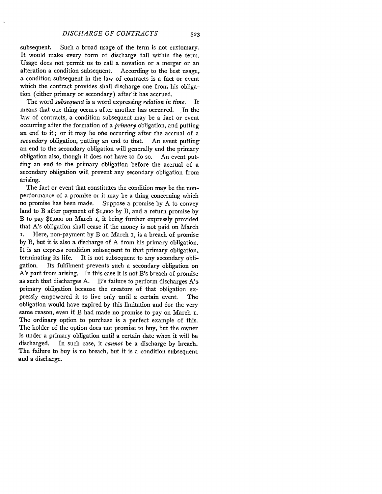subsequent. Such a broad usage of the term.is not customary. It would make every form of discharge fall within the term. Usage does not permit us to call a novation or a merger or an alteration a condition subsequent. According to the best usage, a condition subsequent in the law of contracts is a fact or event which the contract provides shall discharge one from his obligation (either primary or secondary) after it has accrued.

The word *subsequent* is a word expressing *relation in time.* It means that one thing occurs after another has occurred. .In the law of contracts, a condition subsequent may be a fact or event occurring after the formation of a *primary* obligation, and putting an end to it; or it may be one occurring after the accrual of a *secondary* obligation, putting an end to that. An event putting an end to the secondary obligation will generally end the primary obligation also, though it does not have to do so. An event putting an end to the primary obligation before the accrual of a secondary obligation will prevent any secondary obligation from arising.

The fact or event that constitutes the condition may be the nonperformance of a promise or it may be a thing concerning which no promise has been made. Suppose a promise by A to convey land to B after payment of \$1,000 by B, and a return promise by B to pay \$i,ooo on March I, it being further expressly provided that A's obligation shall cease if the money is not paid on March I. Here, non-payment by B on March i, is a breach of promise by B, but it is also a discharge of A from his primary obligation. It is an express condition subsequent to that primary obligation, terminating its life. It is not subsequent to any secondary obligation. Its fulfilment prevents such a secondary obligation on A's part from arising. In this case it is not B's breach of promise as such that discharges A. B's failure to perform discharges A's primary obligation because the creators of that obligation expressly empowered it to live only until a certain event. The obligation would have expired by this limitation and for the very same reason, even if B had made no promise to pay on March i. The ordinary option to purchase is a perfect example of this. The holder of the option does not promise to buy, but the owner is under a primary obligation until a certain date when it will be discharged. In such case, it *cannot* be a discharge by breach. The failure to buy is no breach, but it is a condition subsequent and a discharge.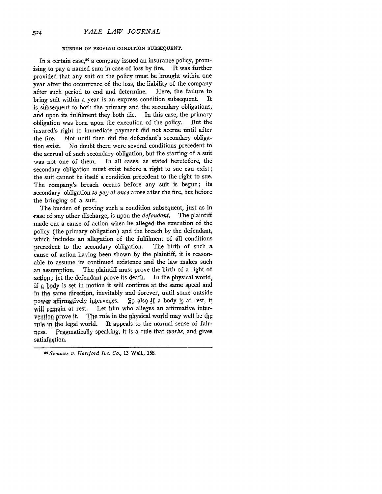# **BURDEN OF PROVING CONDITION SUBSEQUENT.**

In a certain case,<sup>20</sup> a company issued an insurance policy, promising to pay a named sum in case of loss by fire. It was further provided that any suit on the policy must be brought within one year after the occurrence of the loss, the liability of the company after such period to end and determine. Here, the failure to after such period to end and determine. bring suit within a year is an express condition subsequent. is subsequent to both the primary and the secondary obligations, and upon its fulfilment they both die. In this case, the primary and upon its fulfilment they both die. In this case, the primary<br>obligation was born upon the execution of the policy. But the obligation was born upon the execution of the policy. insured's right to immediate payment did not accrue until after the fire. Not until then did the defendant's secondary obligation exist. No doubt there were several conditions precedent to the accrual of such secondary obligation, but the starting of a suit was not one of them. In all cases, as stated heretofore, the secondary obligation must exist before a right to sue can exist; the suit cannot be itself a condition precedent to the right to sue. The company's breach occurs before any suit is begun; its secondary obligation *to pay at once* arose after the fire, but before the bringing of a suit.

The burden of proving such a condition subsequent, just as in se of any other discharge, is upon the *defendant*. The plaintiff case of any other discharge, is upon the *defendant*. made out a cause of action when he alleged the execution of the policy (the primary obligation) and the breach by the defendant, which includes an allegation of the fulfilment of all conditions<br>precedent to the secondary obligation. The birth of such a precedent to the secondary obligation. cause of action having been shown **by** the plaintiff, it is reasonable to assume its continued existence and the law makes such an assumption. The plaintiff must prove the birth of a right of actigp; let the defendant prove its death. In the physical world, if **g** body is set in motion it will continue at the same speed and in the same direction, inevitably and forever, until some outside<br>power affirmatively intervenes. So also if a body is at rest, it power affirmatively intervenes. So also if a body is at rest, it will remain at rest. Let him who alleges an affirmative interwill remain at rest. Let him who alleges an affirmative inter-<br>vention prove it. The rule in the physical world may well be the The rule in the physical world may well be the rule in the legal world. It appeals to the normal sense of fairness. Pragmatically speaking, it is a rule that *works*, and gives satisfaction.

*21 Semines v. Hartford Ins. Co.,* 13 Wall., 158.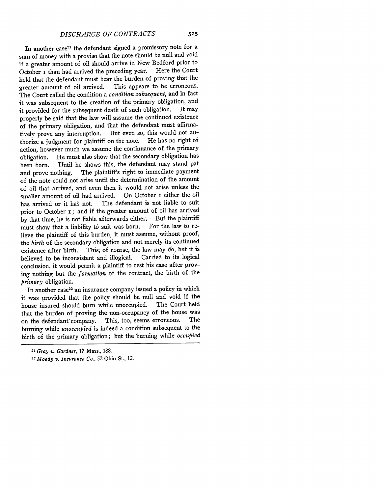In another case<sup>21</sup> the defendant signed a promissory note for a sum of money with a proviso that the note should be null and void if a greater amount of oil should arrive in New Bedford prior to October i than had arrived the preceding year. Here the Court held that the defendant must bear the burden of proving that the greater amount of oil arrived. This appears to be erroneous. greater amount of oil arrived. The Court called the condition a *condition subsequent,* and in fact it was subsequent to the creation of the primary obligation, and<br>it provided for the subsequent death of such obligation. It may it provided for the subsequent death of such obligation. properly be said that the law will assume the continued existence of the primary obligation, and that the defendant must affirmatively prove any interruption. thorize a judgment for plaintiff on the note. He has no right of action, however much we assume the continuance of the primary obligation. He must also show that the secondary obligation has<br>been born. Until he shows this, the defendant may stand pat been born. Until he shows this, the defendant may stand pat and prove nothing. The plaintiff's right to immediate payment The plaintiff's right to immediate payment of the note could not arise until the determination of the amount of oil that arrived, and even then it would not arise unless the smaller amount of oil had arrived.<br>has arrived or it has not. The The defendant is not liable to suit prior to October i; and if the greater amount of oil has arrived **by** that time, he is not liable afterwards either. But the plaintiff must show that a liability to suit was born. For the law to relieve the plaintiff of this burden, it must assume, without proof, the *birth* of the secondary obligation and not merely its continued existence after birth. This, of course, the law may do, but it is This; of course, the law may do, but it is<br>ent and illogical. Carried to its logical believed to be inconsistent and illogical. conclusion, it would permit a plaintiff to rest his case after proving nothing but the *formation* of the contract, the birth of the *primary* obligation.

In another case<sup>22</sup> an insurance company issued a policy in which it was provided that the policy should be null and void if the house insured should burn while unoccupied. that the burden of proving the non-occupancy of the house was<br>on the defendant company. This, too, seems erroneous. The This, too, seems erroneous. burning while *unoccupied* is indeed a condition subsequent to the birth of the primary obligation; but the burning while *occupied*

*<sup>21</sup> Gray v. Gardner,* 17 Mass., 188.

*<sup>22</sup>Moody v. Insurance Co.,* 52 Ohio St., 12.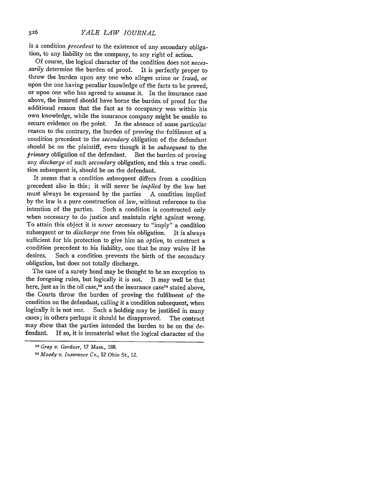is a condition *precedent* to the existence of any secondary obligation, to any liability on the company, to any right of action.

Of course, the logical character of the condition does not *necessarily* determine the burden of proof. It is perfectly proper to throw the burden upon any one who alleges crime or fraud, or upon the one having peculiar knowledge of the facts to be proved, or upon one who has agreed to assume it. In the insurance case above, the insured should have borne the burden of proof for the additional reason that the fact as to occupancy was within his own knowledge, while the insurance company might be unable to secure evidence on the point. In the absence of some particular reason to the contrary, the burden of proving the-fulfilment of a condition precedent to the *secondary* obligation of the defendant should be on the plaintiff, even though it be *subsequent* to the *primary* obligation of the defendant. But the burden of proving any *discharge* of such *secondary* obligation, and this a true condition subsequent is, should be on the defendant.

It seems that a condition subsequent differs from a condition precedent also in this; it will never be *implied* by the law but must always be expressed by the parties A condition implied by the law is a pure construction of law, without reference to the intention of the parties. Such a condition is constructed only when necessary to do justice and maintain right against wrong. To attain this object it is *never* necessary to "imply" a condition subsequent or to *discharge one* from his obligation. It is always sufficient for his protection to give him an *option,* to construct a condition precedent to his liability, one that he may waive if he desires. Such a condition prevents the birth of the secondary Such a condition prevents the birth of the secondary obligation, but does not totally discharge.

The case of a surety bond may be thought to be an exception to the foregoing rules, but logically it is not. It may well be that here, just as in the oil case,<sup>23</sup> and the insurance case<sup>24</sup> stated above, the Courts throw the burden of proving the fulfilment of- the condition on the defendant, calling it a'condition subsequent, when logically it is not one. Such a holding may be justified in many cases; in others perhaps it should be disapproved. The contract may show that the parties intended the burden to be on the defendant. If so, it is immaterial what the logical character of the

*<sup>23</sup>Gray v. Gardner,* 17 Mass., 188.

*<sup>24</sup> Moody v. Insurance Co.,* 52 Ohio St., 12.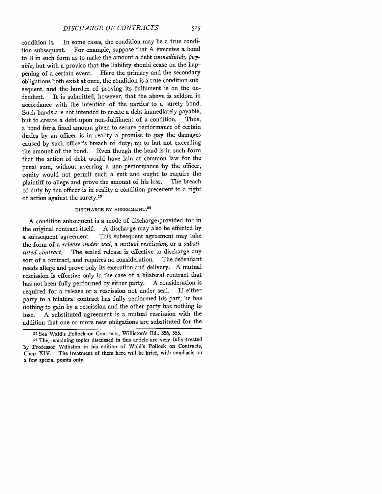condition is. In some cases, the condition may be a true condition subsequent. For example, suppose that A executes a bond to B in such form as to make the amount a debt *immediately payable,* but with a proviso that the liability should cease on the happening of a certain event. Here the primary and the secondary obligations both exist at once, the condition is a true condition subsequent, and the burden, of proving its fulfilment is on the defendant. It is submitted, however, that the above is seldom in accordance with the intention of the parties to a surety bond. Such bonds are not intended to create a debt immediately payable,<br>but to create a debt upon non-fulfilment of a condition. Thus, but to create a debt upon non-fulfilment of a condition. a bond for a fixed amount given to secure performance of certain duties **by** an officer is in reality a promise to pay the damages caused by such officer's breach of duty, up to but not exceeding the amount of the bond. Even though the. bond is in such form that the action of debt would have lain' at common law for the penal sum, without averring a non-performance by the officer, equity would not permit such a suit and ought to require the plaintiff to allege and prove the amount of his loss. The breach plaintiff to allege and prove the amount of his loss. of duty by the officer is in' reality a condition precedent to a right of action against the surety.<sup>25</sup>

# **DISCHARGE BY AGREEMENT. <sup>2</sup> <sup>6</sup>**

A condition subsequent is a mode of discharge ;provided for in the original contract itself. A discharge may also be effected by<br>a subsequent agreement. This subsequent agreement may take This subsequent agreement may take the form of a *release under seal, a mutual rescission,* or a *substituted contract.* The sealed release is effective to discharge any sort of a contract, and requires no consideration. The defendant sort of a contract, and requires no consideration. needs allege and prove only its execution and delivery. A mutual rescission is effective only in the case of a bilateral contract that has not been fully performed by either party. A consideration is<br>required for a release or a rescission not under seal. If either required for a release or a rescission not under seal. party to a bilateral contract has fully performed his part, he has nothing to gain by a rescission and the other party has nothing to lose. A substituted agreement is a mutual rescission with the addition that one or more new obligations are substituted for the

**<sup>-2</sup>** See Wald's Pollock **on** Contracts, Williston's Ed., 356, **555.**

<sup>&</sup>lt;sup>26</sup> The remaining topics discussed in this article are very fully treated by Professor Williston in his edition of Wald's Pollock on Contracts, Chap. XIV.' The treatment of them here will be brief, with emphasis on a few special points only.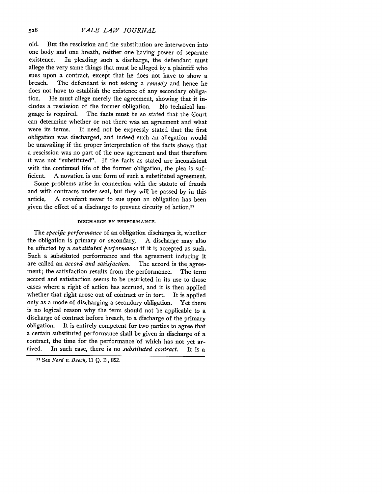*YALE LAW JOURNAL*

old. But the rescission and the substitution are interwoven into one body and one breath, neither one having power of separate existence. In pleading such a discharge, the defendant must allege the very same things that must be alleged by a plaintiff who sues upon a contract, except that he does not have to show a breach. The defendant is not seking a *remedy* and hence he does not have to establish the existence of any secondary obligation. He must allege merely the agreement, showing that it includes a rescission of the former obligation. No technical language is required. The facts must be so stated that the Court can determine whether or not there was an agreement and what were its terms. It need not be expressly stated that the first obligation was discharged, and indeed such an allegation would be unavailing if the proper interpretation of the facts shows that a rescission was no part of the new agreement and that therefore it was not "substituted". If the facts as stated are inconsistent with the continued life of the former obligation, the plea is sufficient. A novation is one form of such a substituted agreement.

Some problems arise in connection with the statute of frauds and with contracts under seal, but they will be passed by in this article. A covenant never to sue upon an obligation has been given the effect of a discharge to prevent circuity of action.27

# DISCHARGE BY PERFORMANCE.

The *specific performance* of an obligation discharges it, whether the obligation is primary or secondary. A discharge may also be effected **by** a *substituted performance* if it is accepted as such. Such a substituted performance and the agreement inducing it are called an *accord and satisfaction*. The accord is the agreement; the satisfaction results from the performance. The term accord and satisfaction seems to be restricted in its use to those cases where a right of action has accrued, and it is then applied whether that right arose out of contract or in tort. It is applied only as a mode of discharging a secondary obligation. Yet there is no logical reason why the term should not be applicable to a discharge of contract before breach, to a discharge of the primary obligation. It is entirely competent for two parties to agree that a certain substituted performance shall be given in discharge of a contract, the time for the performance **of** which has not yet arrived. In such case, there is no *substituted contract.* It is a

528

<sup>27</sup> See *Ford v. Beech,* 11 **Q.** B, 852.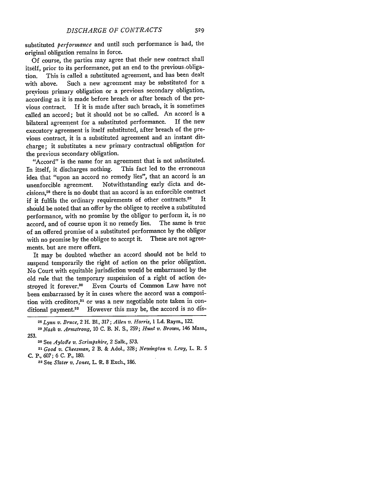substituted *performance* and until such performance is had, the original obligation remains in force.

Of course, the parties may agree that their new contract shall itself, prior to its performance, put an end to the previous obligation. This is called a substituted agreement, and has been dealt with above. Such a new agreement may be substituted for a previous primary obligation or a previous secondary obligation, according as it is made before breach or after breach of the previous contract. If it is made after such breach, it is sometimes called an accord; but it should not be so called. An accord is a<br>bilateral agreement for a substituted performance. If the new bilateral agreement for a substituted performance. executory agreement is itself substituted, after breach of the previous contract, it is a substituted agreement and an instant discharge; it substitutes a new primary contractual obligation for the previous secondary obligation.

"Accord" is the name for an agreement that is not substituted.<br>is itself, it discharges nothing. This fact led to the erroneous In itself, it discharges nothing. idea that "upon an accord no remedy lies", that an accord is an unenforcible agreement. Notwithstanding early dicta and decisions,<sup>28</sup> there is no doubt that an accord is an enforcible contract<br>if it fulfile the ordinary requirements of other contracts.<sup>29</sup> It if it fulfils the ordinary requirements of other contracts.<sup>29</sup> should be noted that an offer by the obligee to receive a substituted performance, with no promise by the obligor to perform it, is no<br>accord, and of course upon it no remedy lies. The same is true accord, and of course upon it no remedy lies. of an offered promise of a substituted performance by the obligor with no promise by the obligee to accept it. These are not agreements. but are mere offers.

It may be doubted whether an accord should not be held to suspend temporarily the right of action on the prior obligation. No Court with equitable jurisdiction would be embarrassed by the old rule that the temporary suspension of a right of action destroyed it forever.<sup>30</sup> Even Courts of Common Law have not been embarrassed by it in cases where the accord was a composition with creditors,<sup>31</sup> or was a new negotiable note taken in conditional payment.<sup>32</sup> However this may be, the accord is no dis-

*<sup>28</sup>Lynn v. Bruce,* 2 H. B!., 317; *Allen v. Harris,* 1 **Ld.** Raym., 122.

*<sup>29</sup>Nash v. Armstrong,* **10** C. B. **N.** S., **259;** *Hunt v. Brown,* 146 Mass., 253.

**<sup>30</sup>**See *Ayloffe v. Scrimpshire,* 2 Salk., 573.

**<sup>31</sup>***Good v. Cheesman,* 2 B. & Adol., 328; *Newington v. Levy,* L. R. 5 C. P., 607; 6 C. P., 180.

**<sup>32</sup>** See *Slater v. Jones,* L. R. 8 Exch., 186.